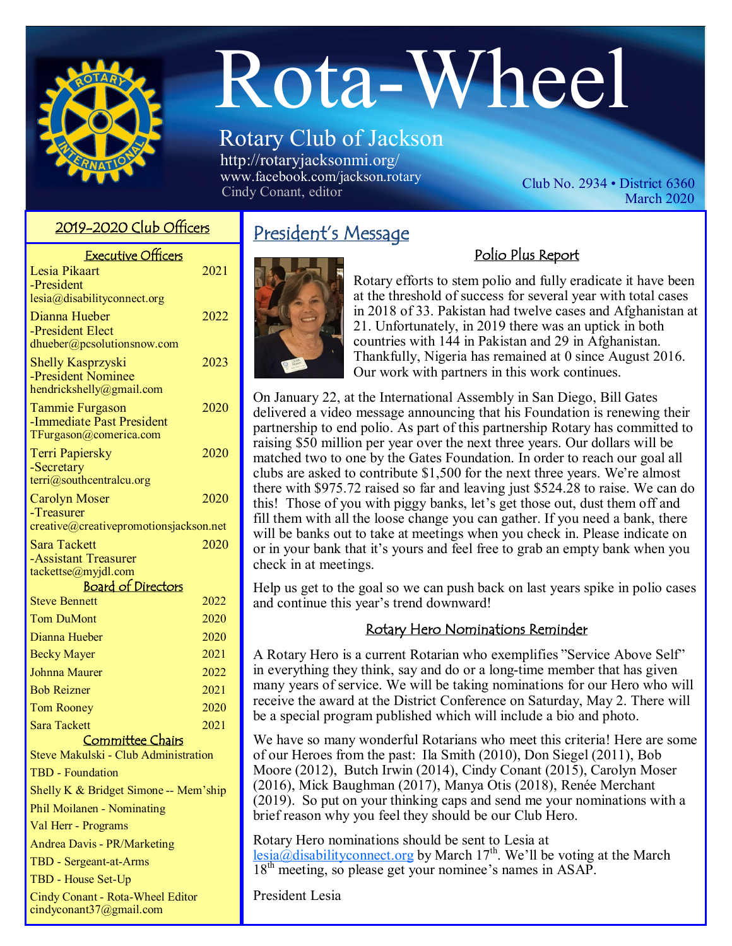

# Rota-Wheel

### Rotary Club of Jackson http://rotaryjacksonmi.org/

www.facebook.com/jackson.rotary No. 2934 • District 6360<br>Cindy Conant, editor Club No. 2934 • District 6360

March 2020

| <b>Executive Officers</b>                   |      |
|---------------------------------------------|------|
| Lesia Pikaart                               | 2021 |
| -President                                  |      |
| lesia@disabilityconnect.org                 |      |
| Dianna Hueber<br>-President Elect           | 2022 |
| dhueber@pcsolutionsnow.com                  |      |
| <b>Shelly Kasprzyski</b>                    | 2023 |
| -President Nominee                          |      |
| hendrickshelly@gmail.com                    |      |
| <b>Tammie Furgason</b>                      | 2020 |
| -Immediate Past President                   |      |
| TFurgason@comerica.com                      |      |
| <b>Terri Papiersky</b><br>-Secretary        | 2020 |
| terri@southcentralcu.org                    |      |
| <b>Carolyn Moser</b>                        | 2020 |
| -Treasurer                                  |      |
| creative@creativepromotionsjackson.net      |      |
| <b>Sara Tackett</b>                         | 2020 |
| -Assistant Treasurer<br>tackettse@myjdl.com |      |
| <b>Board of Directors</b>                   |      |
| <b>Steve Bennett</b>                        | 2022 |
| <b>Tom DuMont</b>                           | 2020 |
| Dianna Hueber                               | 2020 |
| <b>Becky Mayer</b>                          | 2021 |
| Johnna Maurer                               | 2022 |
| <b>Bob Reizner</b>                          | 2021 |
| <b>Tom Rooney</b>                           | 2020 |
| <b>Sara Tackett</b>                         | 2021 |
| <b>Committee Chairs</b>                     |      |
| Steve Makulski - Club Administration        |      |
| <b>TBD</b> - Foundation                     |      |
| Shelly K & Bridget Simone -- Mem'ship       |      |
| Phil Moilanen - Nominating                  |      |

Val Herr - Programs

Andrea Davis - PR/Marketing

TBD - Sergeant-at-Arms

TBD - House Set-Up

Cindy Conant - Rota-Wheel Editor cindyconant37@gmail.com

## <mark>2019-2020 Club Officers President's Message</mark>



Rotary efforts to stem polio and fully eradicate it have been at the threshold of success for several year with total cases in 2018 of 33. Pakistan had twelve cases and Afghanistan at 21. Unfortunately, in 2019 there was an uptick in both countries with 144 in Pakistan and 29 in Afghanistan. Thankfully, Nigeria has remained at 0 since August 2016. Our work with partners in this work continues.

Polio Plus Report

On January 22, at the International Assembly in San Diego, Bill Gates delivered a video message announcing that his Foundation is renewing their partnership to end polio. As part of this partnership Rotary has committed to raising \$50 million per year over the next three years. Our dollars will be matched two to one by the Gates Foundation. In order to reach our goal all clubs are asked to contribute \$1,500 for the next three years. We're almost there with \$975.72 raised so far and leaving just \$524.28 to raise. We can do this! Those of you with piggy banks, let's get those out, dust them off and fill them with all the loose change you can gather. If you need a bank, there will be banks out to take at meetings when you check in. Please indicate on or in your bank that it's yours and feel free to grab an empty bank when you check in at meetings.

Help us get to the goal so we can push back on last years spike in polio cases and continue this year's trend downward!

#### Rotary Hero Nominations Reminder

A Rotary Hero is a current Rotarian who exemplifies "Service Above Self" in everything they think, say and do or a long-time member that has given many years of service. We will be taking nominations for our Hero who will receive the award at the District Conference on Saturday, May 2. There will be a special program published which will include a bio and photo.

We have so many wonderful Rotarians who meet this criteria! Here are some of our Heroes from the past: Ila Smith (2010), Don Siegel (2011), Bob Moore (2012), Butch Irwin (2014), Cindy Conant (2015), Carolyn Moser (2016), Mick Baughman (2017), Manya Otis (2018), Renée Merchant (2019). So put on your thinking caps and send me your nominations with a brief reason why you feel they should be our Club Hero.

Rotary Hero nominations should be sent to Lesia at  $\text{lesia}(\partial \text{disabilityconnect.org}$  by March 17<sup>th</sup>. We'll be voting at the March 18<sup>th</sup> meeting, so please get your nominee's names in ASAP.

President Lesia